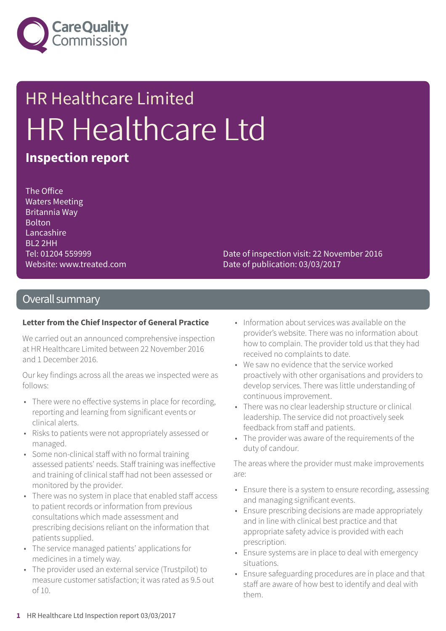

# HR Healthcare Limited HR Healthcare Ltd

## **Inspection report**

The Office Waters Meeting Britannia Way Bolton Lancashire BL2 2HH Tel: 01204 559999 Website: www.treated.com

Date of inspection visit: 22 November 2016 Date of publication: 03/03/2017

## Overall summary

### **Letter from the Chief Inspector of General Practice**

We carried out an announced comprehensive inspection at HR Healthcare Limited between 22 November 2016 and 1 December 2016.

Our key findings across all the areas we inspected were as follows:

- There were no effective systems in place for recording, reporting and learning from significant events or clinical alerts.
- Risks to patients were not appropriately assessed or managed.
- Some non-clinical staff with no formal training assessed patients' needs. Staff training was ineffective and training of clinical staff had not been assessed or monitored by the provider.
- There was no system in place that enabled staff access to patient records or information from previous consultations which made assessment and prescribing decisions reliant on the information that patients supplied.
- The service managed patients' applications for medicines in a timely way.
- The provider used an external service (Trustpilot) to measure customer satisfaction; it was rated as 9.5 out of 10.
- Information about services was available on the provider's website. There was no information about how to complain. The provider told us that they had received no complaints to date.
- We saw no evidence that the service worked proactively with other organisations and providers to develop services. There was little understanding of continuous improvement.
- There was no clear leadership structure or clinical leadership. The service did not proactively seek feedback from staff and patients.
- The provider was aware of the requirements of the duty of candour.

The areas where the provider must make improvements are:

- Ensure there is a system to ensure recording, assessing and managing significant events.
- Ensure prescribing decisions are made appropriately and in line with clinical best practice and that appropriate safety advice is provided with each prescription.
- Ensure systems are in place to deal with emergency situations.
- Ensure safeguarding procedures are in place and that staff are aware of how best to identify and deal with them.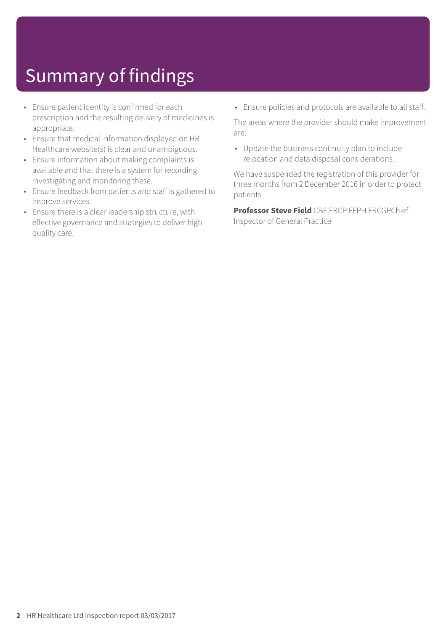## Summary of findings

- Ensure patient identity is confirmed for each prescription and the resulting delivery of medicines is appropriate.
- Ensure that medical information displayed on HR Healthcare website(s) is clear and unambiguous.
- Ensure information about making complaints is available and that there is a system for recording, investigating and monitoring these.
- Ensure feedback from patients and staff is gathered to improve services.
- Ensure there is a clear leadership structure, with effective governance and strategies to deliver high quality care.

• Ensure policies and protocols are available to all staff.

The areas where the provider should make improvement are:

• Update the business continuity plan to include relocation and data disposal considerations.

We have suspended the registration of this provider for three months from 2 December 2016 in order to protect patients .

**Professor Steve Field** CBE FRCP FFPH FRCGPChief Inspector of General Practice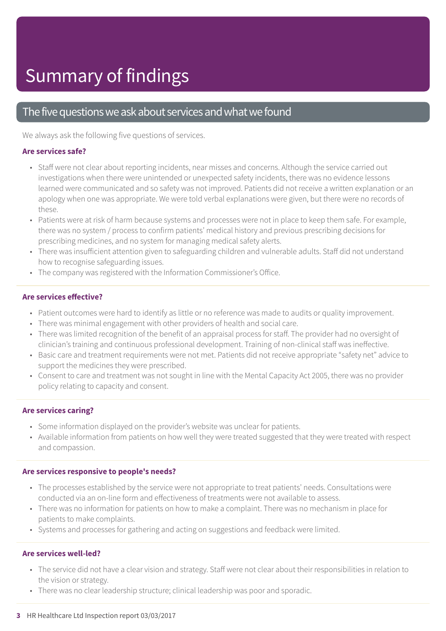## The five questions we ask about services and what we found

We always ask the following five questions of services.

### **Are services safe?**

- Staff were not clear about reporting incidents, near misses and concerns. Although the service carried out investigations when there were unintended or unexpected safety incidents, there was no evidence lessons learned were communicated and so safety was not improved. Patients did not receive a written explanation or an apology when one was appropriate. We were told verbal explanations were given, but there were no records of these.
- Patients were at risk of harm because systems and processes were not in place to keep them safe. For example, there was no system / process to confirm patients' medical history and previous prescribing decisions for prescribing medicines, and no system for managing medical safety alerts.
- There was insufficient attention given to safeguarding children and vulnerable adults. Staff did not understand how to recognise safeguarding issues.
- The company was registered with the Information Commissioner's Office.

### **Are services effective?**

- Patient outcomes were hard to identify as little or no reference was made to audits or quality improvement.
- There was minimal engagement with other providers of health and social care.
- There was limited recognition of the benefit of an appraisal process for staff. The provider had no oversight of clinician's training and continuous professional development. Training of non-clinical staff was ineffective.
- Basic care and treatment requirements were not met. Patients did not receive appropriate "safety net" advice to support the medicines they were prescribed.
- Consent to care and treatment was not sought in line with the Mental Capacity Act 2005, there was no provider policy relating to capacity and consent.

### **Are services caring?**

- Some information displayed on the provider's website was unclear for patients.
- Available information from patients on how well they were treated suggested that they were treated with respect and compassion.

### **Are services responsive to people's needs?**

- The processes established by the service were not appropriate to treat patients' needs. Consultations were conducted via an on-line form and effectiveness of treatments were not available to assess.
- There was no information for patients on how to make a complaint. There was no mechanism in place for patients to make complaints.
- Systems and processes for gathering and acting on suggestions and feedback were limited.

### **Are services well-led?**

- The service did not have a clear vision and strategy. Staff were not clear about their responsibilities in relation to the vision or strategy.
- There was no clear leadership structure; clinical leadership was poor and sporadic.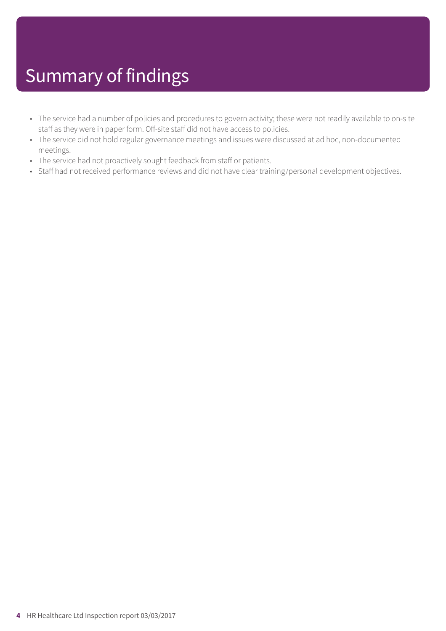- The service had a number of policies and procedures to govern activity; these were not readily available to on-site staff as they were in paper form. Off-site staff did not have access to policies.
- The service did not hold regular governance meetings and issues were discussed at ad hoc, non-documented meetings.
- The service had not proactively sought feedback from staff or patients.
- Staff had not received performance reviews and did not have clear training/personal development objectives.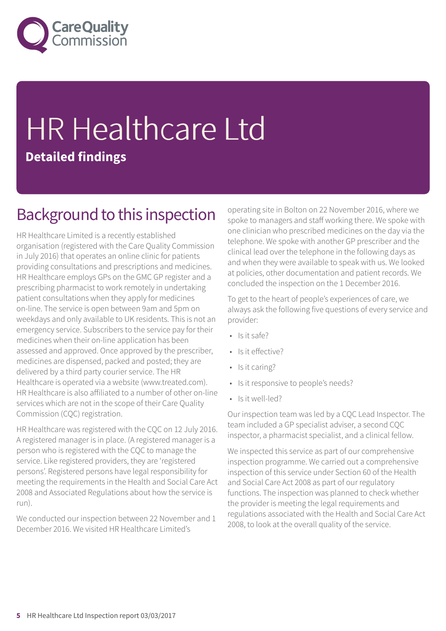

## HR Healthcare Ltd **Detailed findings**

## Background to this inspection

HR Healthcare Limited is a recently established organisation (registered with the Care Quality Commission in July 2016) that operates an online clinic for patients providing consultations and prescriptions and medicines. HR Healthcare employs GPs on the GMC GP register and a prescribing pharmacist to work remotely in undertaking patient consultations when they apply for medicines on-line. The service is open between 9am and 5pm on weekdays and only available to UK residents. This is not an emergency service. Subscribers to the service pay for their medicines when their on-line application has been assessed and approved. Once approved by the prescriber, medicines are dispensed, packed and posted; they are delivered by a third party courier service. The HR Healthcare is operated via a website (www.treated.com). HR Healthcare is also affiliated to a number of other on-line services which are not in the scope of their Care Quality Commission (CQC) registration.

HR Healthcare was registered with the CQC on 12 July 2016. A registered manager is in place. (A registered manager is a person who is registered with the CQC to manage the service. Like registered providers, they are 'registered persons'. Registered persons have legal responsibility for meeting the requirements in the Health and Social Care Act 2008 and Associated Regulations about how the service is run).

We conducted our inspection between 22 November and 1 December 2016. We visited HR Healthcare Limited's

operating site in Bolton on 22 November 2016, where we spoke to managers and staff working there. We spoke with one clinician who prescribed medicines on the day via the telephone. We spoke with another GP prescriber and the clinical lead over the telephone in the following days as and when they were available to speak with us. We looked at policies, other documentation and patient records. We concluded the inspection on the 1 December 2016.

To get to the heart of people's experiences of care, we always ask the following five questions of every service and provider:

- Is it safe?
- Is it effective?
- Is it caring?
- Is it responsive to people's needs?
- Is it well-led?

Our inspection team was led by a CQC Lead Inspector. The team included a GP specialist adviser, a second CQC inspector, a pharmacist specialist, and a clinical fellow.

We inspected this service as part of our comprehensive inspection programme. We carried out a comprehensive inspection of this service under Section 60 of the Health and Social Care Act 2008 as part of our regulatory functions. The inspection was planned to check whether the provider is meeting the legal requirements and regulations associated with the Health and Social Care Act 2008, to look at the overall quality of the service.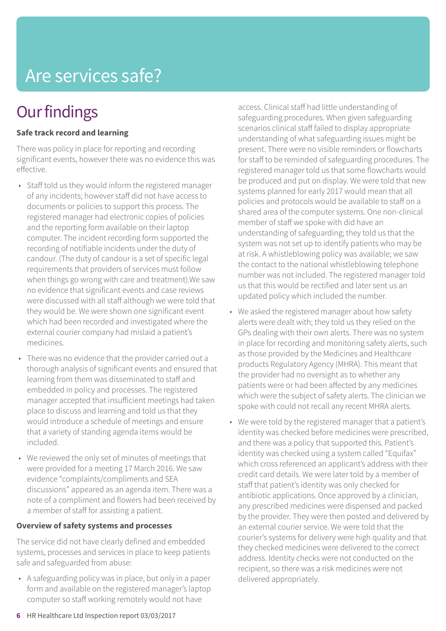## Are services safe?

## **Our findings**

## **Safe track record and learning**

There was policy in place for reporting and recording significant events, however there was no evidence this was effective.

- Staff told us they would inform the registered manager of any incidents; however staff did not have access to documents or policies to support this process. The registered manager had electronic copies of policies and the reporting form available on their laptop computer. The incident recording form supported the recording of notifiable incidents under the duty of candour. (The duty of candour is a set of specific legal requirements that providers of services must follow when things go wrong with care and treatment).We saw no evidence that significant events and case reviews were discussed with all staff although we were told that they would be. We were shown one significant event which had been recorded and investigated where the external courier company had mislaid a patient's medicines.
- There was no evidence that the provider carried out a thorough analysis of significant events and ensured that learning from them was disseminated to staff and embedded in policy and processes. The registered manager accepted that insufficient meetings had taken place to discuss and learning and told us that they would introduce a schedule of meetings and ensure that a variety of standing agenda items would be included.
- We reviewed the only set of minutes of meetings that were provided for a meeting 17 March 2016. We saw evidence "complaints/compliments and SEA discussions" appeared as an agenda item. There was a note of a compliment and flowers had been received by a member of staff for assisting a patient.

### **Overview of safety systems and processes**

The service did not have clearly defined and embedded systems, processes and services in place to keep patients safe and safeguarded from abuse:

• A safeguarding policy was in place, but only in a paper form and available on the registered manager's laptop computer so staff working remotely would not have

access. Clinical staff had little understanding of safeguarding procedures. When given safeguarding scenarios clinical staff failed to display appropriate understanding of what safeguarding issues might be present. There were no visible reminders or flowcharts for staff to be reminded of safeguarding procedures. The registered manager told us that some flowcharts would be produced and put on display. We were told that new systems planned for early 2017 would mean that all policies and protocols would be available to staff on a shared area of the computer systems. One non-clinical member of staff we spoke with did have an understanding of safeguarding; they told us that the system was not set up to identify patients who may be at risk. A whistleblowing policy was available; we saw the contact to the national whistleblowing telephone number was not included. The registered manager told us that this would be rectified and later sent us an updated policy which included the number.

- We asked the registered manager about how safety alerts were dealt with; they told us they relied on the GPs dealing with their own alerts. There was no system in place for recording and monitoring safety alerts, such as those provided by the Medicines and Healthcare products Regulatory Agency (MHRA). This meant that the provider had no oversight as to whether any patients were or had been affected by any medicines which were the subject of safety alerts. The clinician we spoke with could not recall any recent MHRA alerts.
- We were told by the registered manager that a patient's identity was checked before medicines were prescribed, and there was a policy that supported this. Patient's identity was checked using a system called "Equifax" which cross referenced an applicant's address with their credit card details. We were later told by a member of staff that patient's identity was only checked for antibiotic applications. Once approved by a clinician, any prescribed medicines were dispensed and packed by the provider. They were then posted and delivered by an external courier service. We were told that the courier's systems for delivery were high quality and that they checked medicines were delivered to the correct address. Identity checks were not conducted on the recipient, so there was a risk medicines were not delivered appropriately.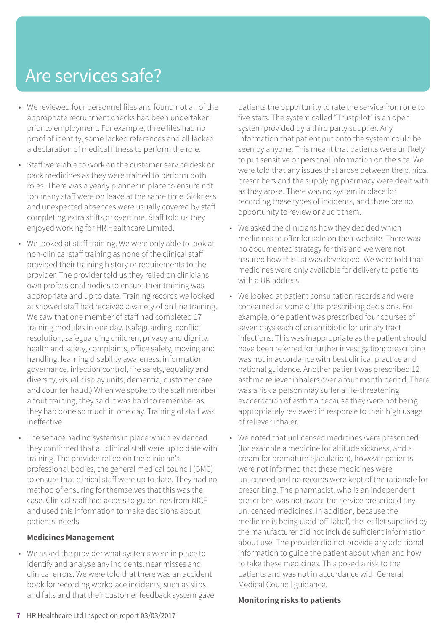## Are services safe?

- We reviewed four personnel files and found not all of the appropriate recruitment checks had been undertaken prior to employment. For example, three files had no proof of identity, some lacked references and all lacked a declaration of medical fitness to perform the role.
- Staff were able to work on the customer service desk or pack medicines as they were trained to perform both roles. There was a yearly planner in place to ensure not too many staff were on leave at the same time. Sickness and unexpected absences were usually covered by staff completing extra shifts or overtime. Staff told us they enjoyed working for HR Healthcare Limited.
- We looked at staff training. We were only able to look at non-clinical staff training as none of the clinical staff provided their training history or requirements to the provider. The provider told us they relied on clinicians own professional bodies to ensure their training was appropriate and up to date. Training records we looked at showed staff had received a variety of on line training. We saw that one member of staff had completed 17 training modules in one day. (safeguarding, conflict resolution, safeguarding children, privacy and dignity, health and safety, complaints, office safety, moving and handling, learning disability awareness, information governance, infection control, fire safety, equality and diversity, visual display units, dementia, customer care and counter fraud.) When we spoke to the staff member about training, they said it was hard to remember as they had done so much in one day. Training of staff was ineffective.
- The service had no systems in place which evidenced they confirmed that all clinical staff were up to date with training. The provider relied on the clinician's professional bodies, the general medical council (GMC) to ensure that clinical staff were up to date. They had no method of ensuring for themselves that this was the case. Clinical staff had access to guidelines from NICE and used this information to make decisions about patients' needs

### **Medicines Management**

• We asked the provider what systems were in place to identify and analyse any incidents, near misses and clinical errors. We were told that there was an accident book for recording workplace incidents, such as slips and falls and that their customer feedback system gave patients the opportunity to rate the service from one to five stars. The system called "Trustpilot" is an open system provided by a third party supplier. Any information that patient put onto the system could be seen by anyone. This meant that patients were unlikely to put sensitive or personal information on the site. We were told that any issues that arose between the clinical prescribers and the supplying pharmacy were dealt with as they arose. There was no system in place for recording these types of incidents, and therefore no opportunity to review or audit them.

- We asked the clinicians how they decided which medicines to offer for sale on their website. There was no documented strategy for this and we were not assured how this list was developed. We were told that medicines were only available for delivery to patients with a UK address.
- We looked at patient consultation records and were concerned at some of the prescribing decisions. For example, one patient was prescribed four courses of seven days each of an antibiotic for urinary tract infections. This was inappropriate as the patient should have been referred for further investigation; prescribing was not in accordance with best clinical practice and national guidance. Another patient was prescribed 12 asthma reliever inhalers over a four month period. There was a risk a person may suffer a life-threatening exacerbation of asthma because they were not being appropriately reviewed in response to their high usage of reliever inhaler.
- We noted that unlicensed medicines were prescribed (for example a medicine for altitude sickness, and a cream for premature ejaculation), however patients were not informed that these medicines were unlicensed and no records were kept of the rationale for prescribing. The pharmacist, who is an independent prescriber, was not aware the service prescribed any unlicensed medicines. In addition, because the medicine is being used 'off-label', the leaflet supplied by the manufacturer did not include sufficient information about use. The provider did not provide any additional information to guide the patient about when and how to take these medicines. This posed a risk to the patients and was not in accordance with General Medical Council guidance.

### **Monitoring risks to patients**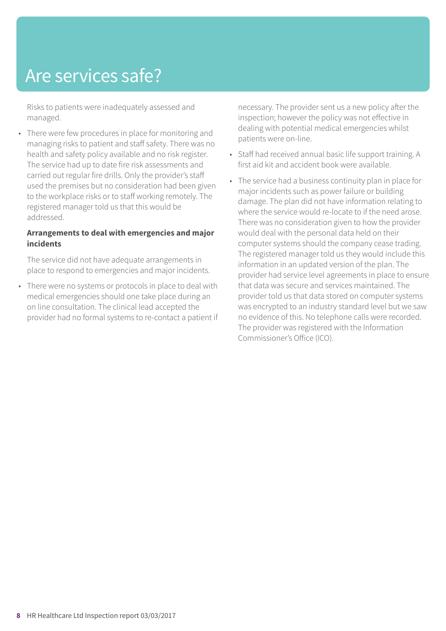## Are services safe?

Risks to patients were inadequately assessed and managed.

• There were few procedures in place for monitoring and managing risks to patient and staff safety. There was no health and safety policy available and no risk register. The service had up to date fire risk assessments and carried out regular fire drills. Only the provider's staff used the premises but no consideration had been given to the workplace risks or to staff working remotely. The registered manager told us that this would be addressed.

### **Arrangements to deal with emergencies and major incidents**

The service did not have adequate arrangements in place to respond to emergencies and major incidents.

• There were no systems or protocols in place to deal with medical emergencies should one take place during an on line consultation. The clinical lead accepted the provider had no formal systems to re-contact a patient if necessary. The provider sent us a new policy after the inspection; however the policy was not effective in dealing with potential medical emergencies whilst patients were on-line.

- Staff had received annual basic life support training. A first aid kit and accident book were available.
- The service had a business continuity plan in place for major incidents such as power failure or building damage. The plan did not have information relating to where the service would re-locate to if the need arose. There was no consideration given to how the provider would deal with the personal data held on their computer systems should the company cease trading. The registered manager told us they would include this information in an updated version of the plan. The provider had service level agreements in place to ensure that data was secure and services maintained. The provider told us that data stored on computer systems was encrypted to an industry standard level but we saw no evidence of this. No telephone calls were recorded. The provider was registered with the Information Commissioner's Office (ICO).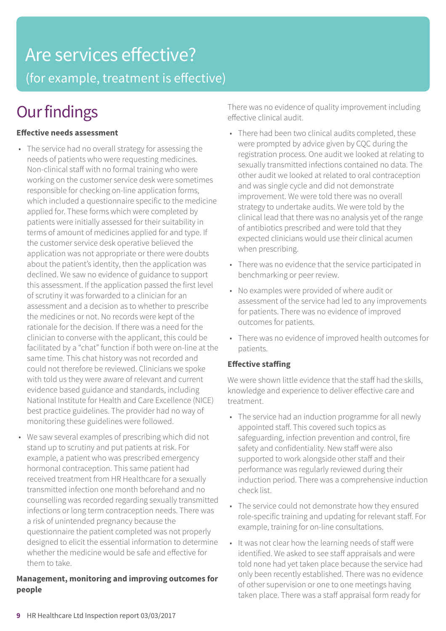## Are services effective?

(for example, treatment is effective)

## **Our findings**

## **Effective needs assessment**

- The service had no overall strategy for assessing the needs of patients who were requesting medicines. Non-clinical staff with no formal training who were working on the customer service desk were sometimes responsible for checking on-line application forms, which included a questionnaire specific to the medicine applied for. These forms which were completed by patients were initially assessed for their suitability in terms of amount of medicines applied for and type. If the customer service desk operative believed the application was not appropriate or there were doubts about the patient's identity, then the application was declined. We saw no evidence of guidance to support this assessment. If the application passed the first level of scrutiny it was forwarded to a clinician for an assessment and a decision as to whether to prescribe the medicines or not. No records were kept of the rationale for the decision. If there was a need for the clinician to converse with the applicant, this could be facilitated by a "chat" function if both were on-line at the same time. This chat history was not recorded and could not therefore be reviewed. Clinicians we spoke with told us they were aware of relevant and current evidence based guidance and standards, including National Institute for Health and Care Excellence (NICE) best practice guidelines. The provider had no way of monitoring these guidelines were followed.
- We saw several examples of prescribing which did not stand up to scrutiny and put patients at risk. For example, a patient who was prescribed emergency hormonal contraception. This same patient had received treatment from HR Healthcare for a sexually transmitted infection one month beforehand and no counselling was recorded regarding sexually transmitted infections or long term contraception needs. There was a risk of unintended pregnancy because the questionnaire the patient completed was not properly designed to elicit the essential information to determine whether the medicine would be safe and effective for them to take.

## **Management, monitoring and improving outcomes for people**

There was no evidence of quality improvement including effective clinical audit.

- There had been two clinical audits completed, these were prompted by advice given by CQC during the registration process. One audit we looked at relating to sexually transmitted infections contained no data. The other audit we looked at related to oral contraception and was single cycle and did not demonstrate improvement. We were told there was no overall strategy to undertake audits. We were told by the clinical lead that there was no analysis yet of the range of antibiotics prescribed and were told that they expected clinicians would use their clinical acumen when prescribing.
- There was no evidence that the service participated in benchmarking or peer review.
- No examples were provided of where audit or assessment of the service had led to any improvements for patients. There was no evidence of improved outcomes for patients.
- There was no evidence of improved health outcomes for patients.

## **Effective staffing**

We were shown little evidence that the staff had the skills, knowledge and experience to deliver effective care and treatment.

- The service had an induction programme for all newly appointed staff. This covered such topics as safeguarding, infection prevention and control, fire safety and confidentiality. New staff were also supported to work alongside other staff and their performance was regularly reviewed during their induction period. There was a comprehensive induction check list.
- The service could not demonstrate how they ensured role-specific training and updating for relevant staff. For example, training for on-line consultations.
- It was not clear how the learning needs of staff were identified. We asked to see staff appraisals and were told none had yet taken place because the service had only been recently established. There was no evidence of other supervision or one to one meetings having taken place. There was a staff appraisal form ready for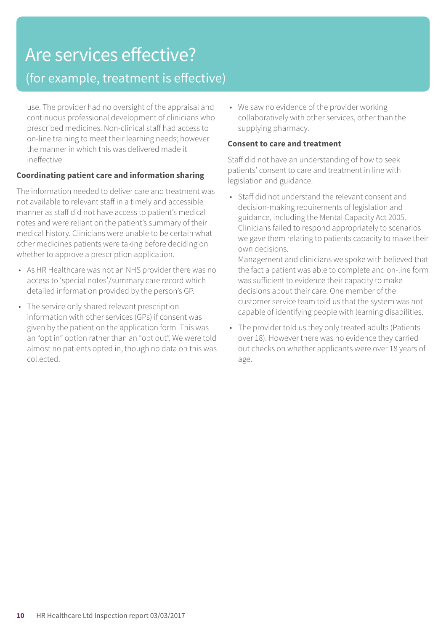## Are services effective? (for example, treatment is effective)

use. The provider had no oversight of the appraisal and continuous professional development of clinicians who prescribed medicines. Non-clinical staff had access to on-line training to meet their learning needs; however the manner in which this was delivered made it ineffective

## **Coordinating patient care and information sharing**

The information needed to deliver care and treatment was not available to relevant staff in a timely and accessible manner as staff did not have access to patient's medical notes and were reliant on the patient's summary of their medical history. Clinicians were unable to be certain what other medicines patients were taking before deciding on whether to approve a prescription application.

- As HR Healthcare was not an NHS provider there was no access to 'special notes'/summary care record which detailed information provided by the person's GP.
- The service only shared relevant prescription information with other services (GPs) if consent was given by the patient on the application form. This was an "opt in" option rather than an "opt out". We were told almost no patients opted in, though no data on this was collected.

• We saw no evidence of the provider working collaboratively with other services, other than the supplying pharmacy.

## **Consent to care and treatment**

Staff did not have an understanding of how to seek patients' consent to care and treatment in line with legislation and guidance.

• Staff did not understand the relevant consent and decision-making requirements of legislation and guidance, including the Mental Capacity Act 2005. Clinicians failed to respond appropriately to scenarios we gave them relating to patients capacity to make their own decisions.

Management and clinicians we spoke with believed that the fact a patient was able to complete and on-line form was sufficient to evidence their capacity to make decisions about their care. One member of the customer service team told us that the system was not capable of identifying people with learning disabilities.

• The provider told us they only treated adults (Patients over 18). However there was no evidence they carried out checks on whether applicants were over 18 years of age.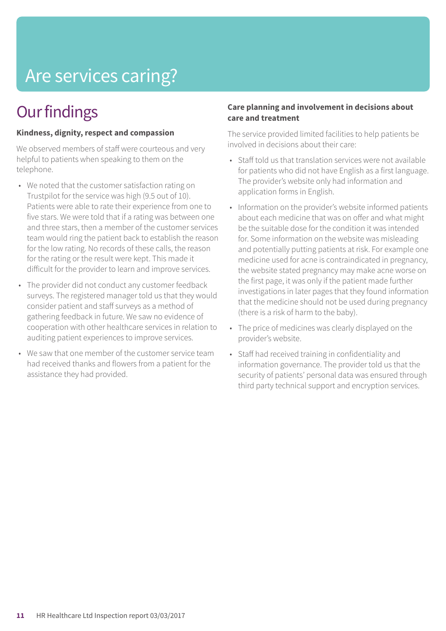## Are services caring?

## **Our findings**

## **Kindness, dignity, respect and compassion**

We observed members of staff were courteous and very helpful to patients when speaking to them on the telephone.

- We noted that the customer satisfaction rating on Trustpilot for the service was high (9.5 out of 10). Patients were able to rate their experience from one to five stars. We were told that if a rating was between one and three stars, then a member of the customer services team would ring the patient back to establish the reason for the low rating. No records of these calls, the reason for the rating or the result were kept. This made it difficult for the provider to learn and improve services.
- The provider did not conduct any customer feedback surveys. The registered manager told us that they would consider patient and staff surveys as a method of gathering feedback in future. We saw no evidence of cooperation with other healthcare services in relation to auditing patient experiences to improve services.
- We saw that one member of the customer service team had received thanks and flowers from a patient for the assistance they had provided.

### **Care planning and involvement in decisions about care and treatment**

The service provided limited facilities to help patients be involved in decisions about their care:

- Staff told us that translation services were not available for patients who did not have English as a first language. The provider's website only had information and application forms in English.
- Information on the provider's website informed patients about each medicine that was on offer and what might be the suitable dose for the condition it was intended for. Some information on the website was misleading and potentially putting patients at risk. For example one medicine used for acne is contraindicated in pregnancy, the website stated pregnancy may make acne worse on the first page, it was only if the patient made further investigations in later pages that they found information that the medicine should not be used during pregnancy (there is a risk of harm to the baby).
- The price of medicines was clearly displayed on the provider's website.
- Staff had received training in confidentiality and information governance. The provider told us that the security of patients' personal data was ensured through third party technical support and encryption services.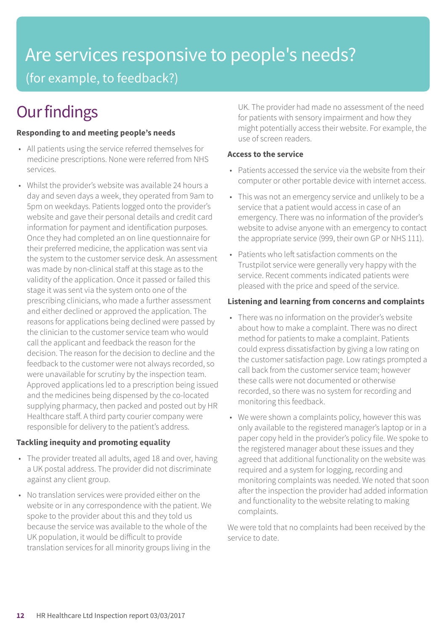## Are services responsive to people's needs? (for example, to feedback?)

## **Our findings**

## **Responding to and meeting people's needs**

- All patients using the service referred themselves for medicine prescriptions. None were referred from NHS services.
- Whilst the provider's website was available 24 hours a day and seven days a week, they operated from 9am to 5pm on weekdays. Patients logged onto the provider's website and gave their personal details and credit card information for payment and identification purposes. Once they had completed an on line questionnaire for their preferred medicine, the application was sent via the system to the customer service desk. An assessment was made by non-clinical staff at this stage as to the validity of the application. Once it passed or failed this stage it was sent via the system onto one of the prescribing clinicians, who made a further assessment and either declined or approved the application. The reasons for applications being declined were passed by the clinician to the customer service team who would call the applicant and feedback the reason for the decision. The reason for the decision to decline and the feedback to the customer were not always recorded, so were unavailable for scrutiny by the inspection team. Approved applications led to a prescription being issued and the medicines being dispensed by the co-located supplying pharmacy, then packed and posted out by HR Healthcare staff. A third party courier company were responsible for delivery to the patient's address.

### **Tackling inequity and promoting equality**

- The provider treated all adults, aged 18 and over, having a UK postal address. The provider did not discriminate against any client group.
- No translation services were provided either on the website or in any correspondence with the patient. We spoke to the provider about this and they told us because the service was available to the whole of the UK population, it would be difficult to provide translation services for all minority groups living in the

UK. The provider had made no assessment of the need for patients with sensory impairment and how they might potentially access their website. For example, the use of screen readers.

### **Access to the service**

- Patients accessed the service via the website from their computer or other portable device with internet access.
- This was not an emergency service and unlikely to be a service that a patient would access in case of an emergency. There was no information of the provider's website to advise anyone with an emergency to contact the appropriate service (999, their own GP or NHS 111).
- Patients who left satisfaction comments on the Trustpilot service were generally very happy with the service. Recent comments indicated patients were pleased with the price and speed of the service.

## **Listening and learning from concerns and complaints**

- There was no information on the provider's website about how to make a complaint. There was no direct method for patients to make a complaint. Patients could express dissatisfaction by giving a low rating on the customer satisfaction page. Low ratings prompted a call back from the customer service team; however these calls were not documented or otherwise recorded, so there was no system for recording and monitoring this feedback.
- We were shown a complaints policy, however this was only available to the registered manager's laptop or in a paper copy held in the provider's policy file. We spoke to the registered manager about these issues and they agreed that additional functionality on the website was required and a system for logging, recording and monitoring complaints was needed. We noted that soon after the inspection the provider had added information and functionality to the website relating to making complaints.

We were told that no complaints had been received by the service to date.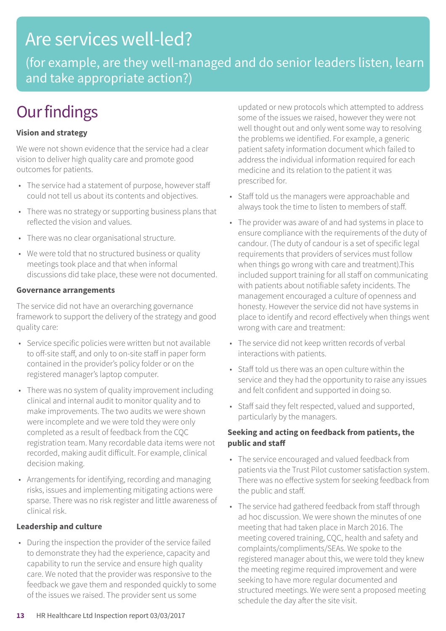## Are services well-led?

(for example, are they well-managed and do senior leaders listen, learn and take appropriate action?)

## **Our findings**

## **Vision and strategy**

We were not shown evidence that the service had a clear vision to deliver high quality care and promote good outcomes for patients.

- The service had a statement of purpose, however staff could not tell us about its contents and objectives.
- There was no strategy or supporting business plans that reflected the vision and values.
- There was no clear organisational structure.
- We were told that no structured business or quality meetings took place and that when informal discussions did take place, these were not documented.

### **Governance arrangements**

The service did not have an overarching governance framework to support the delivery of the strategy and good quality care:

- Service specific policies were written but not available to off-site staff, and only to on-site staff in paper form contained in the provider's policy folder or on the registered manager's laptop computer.
- There was no system of quality improvement including clinical and internal audit to monitor quality and to make improvements. The two audits we were shown were incomplete and we were told they were only completed as a result of feedback from the CQC registration team. Many recordable data items were not recorded, making audit difficult. For example, clinical decision making.
- Arrangements for identifying, recording and managing risks, issues and implementing mitigating actions were sparse. There was no risk register and little awareness of clinical risk.

### **Leadership and culture**

• During the inspection the provider of the service failed to demonstrate they had the experience, capacity and capability to run the service and ensure high quality care. We noted that the provider was responsive to the feedback we gave them and responded quickly to some of the issues we raised. The provider sent us some

updated or new protocols which attempted to address some of the issues we raised, however they were not well thought out and only went some way to resolving the problems we identified. For example, a generic patient safety information document which failed to address the individual information required for each medicine and its relation to the patient it was prescribed for.

- Staff told us the managers were approachable and always took the time to listen to members of staff.
- The provider was aware of and had systems in place to ensure compliance with the requirements of the duty of candour. (The duty of candour is a set of specific legal requirements that providers of services must follow when things go wrong with care and treatment).This included support training for all staff on communicating with patients about notifiable safety incidents. The management encouraged a culture of openness and honesty. However the service did not have systems in place to identify and record effectively when things went wrong with care and treatment:
- The service did not keep written records of verbal interactions with patients.
- Staff told us there was an open culture within the service and they had the opportunity to raise any issues and felt confident and supported in doing so.
- Staff said they felt respected, valued and supported, particularly by the managers.

### **Seeking and acting on feedback from patients, the public and staff**

- The service encouraged and valued feedback from patients via the Trust Pilot customer satisfaction system. There was no effective system for seeking feedback from the public and staff.
- The service had gathered feedback from staff through ad hoc discussion. We were shown the minutes of one meeting that had taken place in March 2016. The meeting covered training, CQC, health and safety and complaints/compliments/SEAs. We spoke to the registered manager about this, we were told they knew the meeting regime required improvement and were seeking to have more regular documented and structured meetings. We were sent a proposed meeting schedule the day after the site visit.